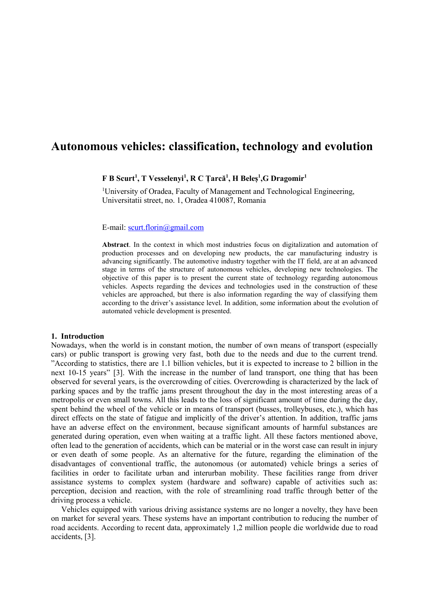# **Autonomous vehicles: classification, technology and evolution**

# **F B Scurt<sup>1</sup> , T Vesselenyi 1 , R C Țarcă<sup>1</sup> , H Beleș<sup>1</sup> ,G Dragomir<sup>1</sup>**

<sup>1</sup>University of Oradea, Faculty of Management and Technological Engineering, Universitatii street, no. 1, Oradea 410087, Romania

## E-mail: [scurt.florin@gmail.com](mailto:scurt.florin@gmail.com)

**Abstract**. In the context in which most industries focus on digitalization and automation of production processes and on developing new products, the car manufacturing industry is advancing significantly. The automotive industry together with the IT field, are at an advanced stage in terms of the structure of autonomous vehicles, developing new technologies. The objective of this paper is to present the current state of technology regarding autonomous vehicles. Aspects regarding the devices and technologies used in the construction of these vehicles are approached, but there is also information regarding the way of classifying them according to the driver's assistance level. In addition, some information about the evolution of automated vehicle development is presented.

## **1. Introduction**

Nowadays, when the world is in constant motion, the number of own means of transport (especially cars) or public transport is growing very fast, both due to the needs and due to the current trend. "According to statistics, there are 1.1 billion vehicles, but it is expected to increase to 2 billion in the next 10-15 years" [3]. With the increase in the number of land transport, one thing that has been observed for several years, is the overcrowding of cities. Overcrowding is characterized by the lack of parking spaces and by the traffic jams present throughout the day in the most interesting areas of a metropolis or even small towns. All this leads to the loss of significant amount of time during the day, spent behind the wheel of the vehicle or in means of transport (busses, trolleybuses, etc.), which has direct effects on the state of fatigue and implicitly of the driver's attention. In addition, traffic jams have an adverse effect on the environment, because significant amounts of harmful substances are generated during operation, even when waiting at a traffic light. All these factors mentioned above, often lead to the generation of accidents, which can be material or in the worst case can result in injury or even death of some people. As an alternative for the future, regarding the elimination of the disadvantages of conventional traffic, the autonomous (or automated) vehicle brings a series of facilities in order to facilitate urban and interurban mobility. These facilities range from driver assistance systems to complex system (hardware and software) capable of activities such as: perception, decision and reaction, with the role of streamlining road traffic through better of the driving process a vehicle.

Vehicles equipped with various driving assistance systems are no longer a novelty, they have been on market for several years. These systems have an important contribution to reducing the number of road accidents. According to recent data, approximately 1,2 million people die worldwide due to road accidents, [3].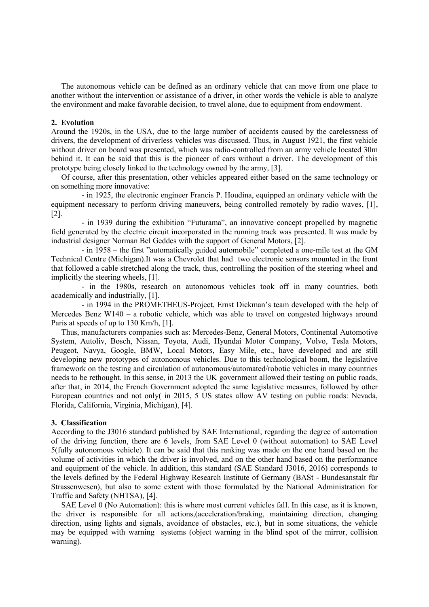The autonomous vehicle can be defined as an ordinary vehicle that can move from one place to another without the intervention or assistance of a driver, in other words the vehicle is able to analyze the environment and make favorable decision, to travel alone, due to equipment from endowment.

## **2. Evolution**

Around the 1920s, in the USA, due to the large number of accidents caused by the carelessness of drivers, the development of driverless vehicles was discussed. Thus, in August 1921, the first vehicle without driver on board was presented, which was radio-controlled from an army vehicle located 30m behind it. It can be said that this is the pioneer of cars without a driver. The development of this prototype being closely linked to the technology owned by the army, [3].

Of course, after this presentation, other vehicles appeared either based on the same technology or on something more innovative:

- in 1925, the electronic engineer Francis P. Houdina, equipped an ordinary vehicle with the equipment necessary to perform driving maneuvers, being controlled remotely by radio waves, [1], [2].

- in 1939 during the exhibition "Futurama", an innovative concept propelled by magnetic field generated by the electric circuit incorporated in the running track was presented. It was made by industrial designer Norman Bel Geddes with the support of General Motors, [2].

- in 1958 – the first "automatically guided automobile" completed a one-mile test at the GM Technical Centre (Michigan).It was a Chevrolet that had two electronic sensors mounted in the front that followed a cable stretched along the track, thus, controlling the position of the steering wheel and implicitly the steering wheels, [1].

- in the 1980s, research on autonomous vehicles took off in many countries, both academically and industrially, [1].

- in 1994 in the PROMETHEUS-Project, Ernst Dickman's team developed with the help of Mercedes Benz W140 – a robotic vehicle, which was able to travel on congested highways around Paris at speeds of up to 130 Km/h, [1].

Thus, manufacturers companies such as: Mercedes-Benz, General Motors, Continental Automotive System, Autoliv, Bosch, Nissan, Toyota, Audi, Hyundai Motor Company, Volvo, Tesla Motors, Peugeot, Navya, Google, BMW, Local Motors, Easy Mile, etc., have developed and are still developing new prototypes of autonomous vehicles. Due to this technological boom, the legislative framework on the testing and circulation of autonomous/automated/robotic vehicles in many countries needs to be rethought. In this sense, in 2013 the UK government allowed their testing on public roads, after that, in 2014, the French Government adopted the same legislative measures, followed by other European countries and not only( in 2015, 5 US states allow AV testing on public roads: Nevada, Florida, California, Virginia, Michigan), [4].

#### **3. Classification**

According to the J3016 standard published by SAE International, regarding the degree of automation of the driving function, there are 6 levels, from SAE Level 0 (without automation) to SAE Level 5(fully autonomous vehicle). It can be said that this ranking was made on the one hand based on the volume of activities in which the driver is involved, and on the other hand based on the performance and equipment of the vehicle. In addition, this standard (SAE Standard J3016, 2016) corresponds to the levels defined by the Federal Highway Research Institute of Germany (BASt - Bundesanstalt für Strassenwesen), but also to some extent with those formulated by the National Administration for Traffic and Safety (NHTSA), [4].

SAE Level 0 (No Automation): this is where most current vehicles fall. In this case, as it is known, the driver is responsible for all actions,(acceleration/braking, maintaining direction, changing direction, using lights and signals, avoidance of obstacles, etc.), but in some situations, the vehicle may be equipped with warning systems (object warning in the blind spot of the mirror, collision warning).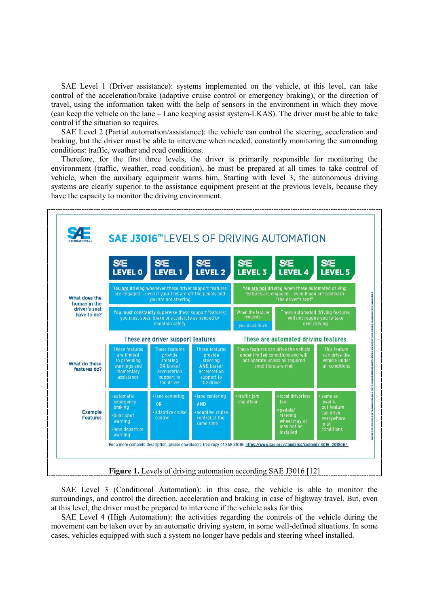SAE Level 1 (Driver assistance): systems implemented on the vehicle, at this level, can take control of the acceleration/brake (adaptive cruise control or emergency braking), or the direction of travel, using the information taken with the help of sensors in the environment in which they move (can keep the vehicle on the lane – Lane keeping assist system-LKAS). The driver must be able to take control if the situation so requires.

SAE Level 2 (Partial automation/assistance): the vehicle can control the steering, acceleration and braking, but the driver must be able to intervene when needed, constantly monitoring the surrounding conditions: traffic, weather and road conditions.

Therefore, for the first three levels, the driver is primarily responsible for monitoring the environment (traffic, weather, road condition), he must be prepared at all times to take control of vehicle, when the auxiliary equipment warns him. Starting with level 3, the autonomous driving systems are clearly superior to the assistance equipment present at the previous levels, because they have the capacity to monitor the driving environment.



SAE Level 3 (Conditional Automation): in this case, the vehicle is able to monitor the surroundings, and control the direction, acceleration and braking in case of highway travel. But, even at this level, the driver must be prepared to intervene if the vehicle asks for this.

SAE Level 4 (High Automation): the activities regarding the controls of the vehicle during the movement can be taken over by an automatic driving system, in some well-defined situations. In some cases, vehicles equipped with such a system no longer have pedals and steering wheel installed.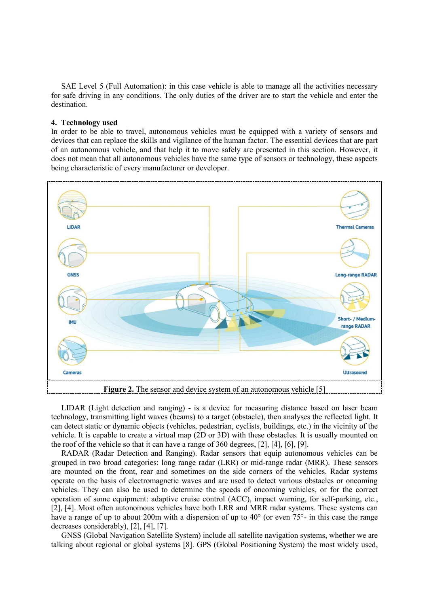SAE Level 5 (Full Automation): in this case vehicle is able to manage all the activities necessary for safe driving in any conditions. The only duties of the driver are to start the vehicle and enter the destination.

# **4. Technology used**

In order to be able to travel, autonomous vehicles must be equipped with a variety of sensors and devices that can replace the skills and vigilance of the human factor. The essential devices that are part of an autonomous vehicle, and that help it to move safely are presented in this section. However, it does not mean that all autonomous vehicles have the same type of sensors or technology, these aspects being characteristic of every manufacturer or developer.



LIDAR (Light detection and ranging) - is a device for measuring distance based on laser beam technology, transmitting light waves (beams) to a target (obstacle), then analyses the reflected light. It can detect static or dynamic objects (vehicles, pedestrian, cyclists, buildings, etc.) in the vicinity of the vehicle. It is capable to create a virtual map (2D or 3D) with these obstacles. It is usually mounted on the roof of the vehicle so that it can have a range of 360 degrees, [2], [4], [6], [9].

RADAR (Radar Detection and Ranging). Radar sensors that equip autonomous vehicles can be grouped in two broad categories: long range radar (LRR) or mid-range radar (MRR). These sensors are mounted on the front, rear and sometimes on the side corners of the vehicles. Radar systems operate on the basis of electromagnetic waves and are used to detect various obstacles or oncoming vehicles. They can also be used to determine the speeds of oncoming vehicles, or for the correct operation of some equipment: adaptive cruise control (ACC), impact warning, for self-parking, etc., [2], [4]. Most often autonomous vehicles have both LRR and MRR radar systems. These systems can have a range of up to about 200m with a dispersion of up to 40° (or even 75°- in this case the range decreases considerably), [2], [4], [7].

GNSS (Global Navigation Satellite System) include all satellite navigation systems, whether we are talking about regional or global systems [8]. GPS (Global Positioning System) the most widely used,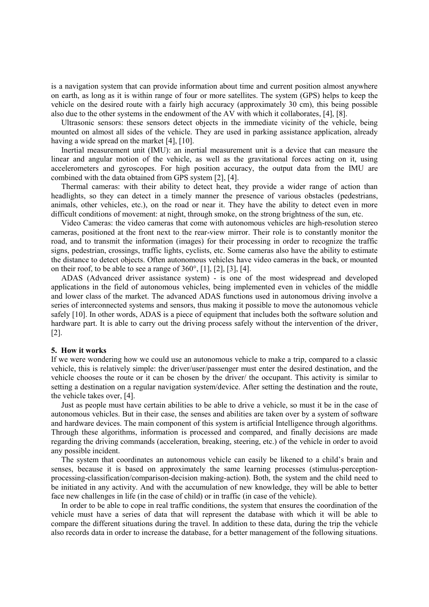is a navigation system that can provide information about time and current position almost anywhere on earth, as long as it is within range of four or more satellites. The system (GPS) helps to keep the vehicle on the desired route with a fairly high accuracy (approximately 30 cm), this being possible also due to the other systems in the endowment of the AV with which it collaborates, [4], [8].

Ultrasonic sensors: these sensors detect objects in the immediate vicinity of the vehicle, being mounted on almost all sides of the vehicle. They are used in parking assistance application, already having a wide spread on the market [4], [10].

Inertial measurement unit (IMU): an inertial measurement unit is a device that can measure the linear and angular motion of the vehicle, as well as the gravitational forces acting on it, using accelerometers and gyroscopes. For high position accuracy, the output data from the IMU are combined with the data obtained from GPS system [2], [4].

Thermal cameras: with their ability to detect heat, they provide a wider range of action than headlights, so they can detect in a timely manner the presence of various obstacles (pedestrians, animals, other vehicles, etc.), on the road or near it. They have the ability to detect even in more difficult conditions of movement: at night, through smoke, on the strong brightness of the sun, etc.

Video Cameras: the video cameras that come with autonomous vehicles are high-resolution stereo cameras, positioned at the front next to the rear-view mirror. Their role is to constantly monitor the road, and to transmit the information (images) for their processing in order to recognize the traffic signs, pedestrian, crossings, traffic lights, cyclists, etc. Some cameras also have the ability to estimate the distance to detect objects. Often autonomous vehicles have video cameras in the back, or mounted on their roof, to be able to see a range of 360°, [1], [2], [3], [4].

ADAS (Advanced driver assistance system) - is one of the most widespread and developed applications in the field of autonomous vehicles, being implemented even in vehicles of the middle and lower class of the market. The advanced ADAS functions used in autonomous driving involve a series of interconnected systems and sensors, thus making it possible to move the autonomous vehicle safely [10]. In other words, ADAS is a piece of equipment that includes both the software solution and hardware part. It is able to carry out the driving process safely without the intervention of the driver, [2].

#### **5. How it works**

If we were wondering how we could use an autonomous vehicle to make a trip, compared to a classic vehicle, this is relatively simple: the driver/user/passenger must enter the desired destination, and the vehicle chooses the route or it can be chosen by the driver/ the occupant. This activity is similar to setting a destination on a regular navigation system/device. After setting the destination and the route, the vehicle takes over, [4].

Just as people must have certain abilities to be able to drive a vehicle, so must it be in the case of autonomous vehicles. But in their case, the senses and abilities are taken over by a system of software and hardware devices. The main component of this system is artificial Intelligence through algorithms. Through these algorithms, information is processed and compared, and finally decisions are made regarding the driving commands (acceleration, breaking, steering, etc.) of the vehicle in order to avoid any possible incident.

The system that coordinates an autonomous vehicle can easily be likened to a child's brain and senses, because it is based on approximately the same learning processes (stimulus-perceptionprocessing-classification/comparison-decision making-action). Both, the system and the child need to be initiated in any activity. And with the accumulation of new knowledge, they will be able to better face new challenges in life (in the case of child) or in traffic (in case of the vehicle).

In order to be able to cope in real traffic conditions, the system that ensures the coordination of the vehicle must have a series of data that will represent the database with which it will be able to compare the different situations during the travel. In addition to these data, during the trip the vehicle also records data in order to increase the database, for a better management of the following situations.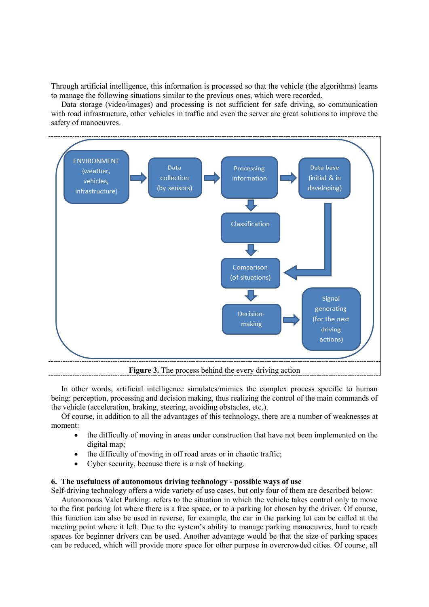Through artificial intelligence, this information is processed so that the vehicle (the algorithms) learns to manage the following situations similar to the previous ones, which were recorded.

Data storage (video/images) and processing is not sufficient for safe driving, so communication with road infrastructure, other vehicles in traffic and even the server are great solutions to improve the safety of manoeuvres.



In other words, artificial intelligence simulates/mimics the complex process specific to human being: perception, processing and decision making, thus realizing the control of the main commands of the vehicle (acceleration, braking, steering, avoiding obstacles, etc.).

Of course, in addition to all the advantages of this technology, there are a number of weaknesses at moment:

- the difficulty of moving in areas under construction that have not been implemented on the digital map;
- the difficulty of moving in off road areas or in chaotic traffic;
- Cyber security, because there is a risk of hacking.

## **6. The usefulness of autonomous driving technology - possible ways of use**

Self-driving technology offers a wide variety of use cases, but only four of them are described below:

Autonomous Valet Parking: refers to the situation in which the vehicle takes control only to move to the first parking lot where there is a free space, or to a parking lot chosen by the driver. Of course, this function can also be used in reverse, for example, the car in the parking lot can be called at the meeting point where it left. Due to the system's ability to manage parking manoeuvres, hard to reach spaces for beginner drivers can be used. Another advantage would be that the size of parking spaces can be reduced, which will provide more space for other purpose in overcrowded cities. Of course, all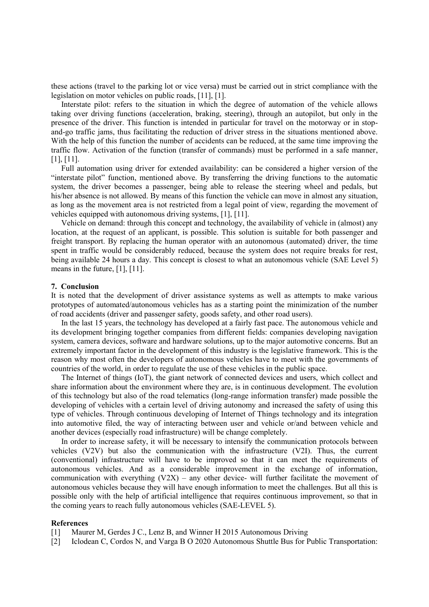these actions (travel to the parking lot or vice versa) must be carried out in strict compliance with the legislation on motor vehicles on public roads, [11], [1].

Interstate pilot: refers to the situation in which the degree of automation of the vehicle allows taking over driving functions (acceleration, braking, steering), through an autopilot, but only in the presence of the driver. This function is intended in particular for travel on the motorway or in stopand-go traffic jams, thus facilitating the reduction of driver stress in the situations mentioned above. With the help of this function the number of accidents can be reduced, at the same time improving the traffic flow. Activation of the function (transfer of commands) must be performed in a safe manner, [1], [11].

Full automation using driver for extended availability: can be considered a higher version of the "interstate pilot" function, mentioned above. By transferring the driving functions to the automatic system, the driver becomes a passenger, being able to release the steering wheel and pedals, but his/her absence is not allowed. By means of this function the vehicle can move in almost any situation, as long as the movement area is not restricted from a legal point of view, regarding the movement of vehicles equipped with autonomous driving systems, [1], [11].

Vehicle on demand: through this concept and technology, the availability of vehicle in (almost) any location, at the request of an applicant, is possible. This solution is suitable for both passenger and freight transport. By replacing the human operator with an autonomous (automated) driver, the time spent in traffic would be considerably reduced, because the system does not require breaks for rest, being available 24 hours a day. This concept is closest to what an autonomous vehicle (SAE Level 5) means in the future, [1], [11].

# **7. Conclusion**

It is noted that the development of driver assistance systems as well as attempts to make various prototypes of automated/autonomous vehicles has as a starting point the minimization of the number of road accidents (driver and passenger safety, goods safety, and other road users).

In the last 15 years, the technology has developed at a fairly fast pace. The autonomous vehicle and its development bringing together companies from different fields: companies developing navigation system, camera devices, software and hardware solutions, up to the major automotive concerns. But an extremely important factor in the development of this industry is the legislative framework. This is the reason why most often the developers of autonomous vehicles have to meet with the governments of countries of the world, in order to regulate the use of these vehicles in the public space.

The Internet of things (IoT), the giant network of connected devices and users, which collect and share information about the environment where they are, is in continuous development. The evolution of this technology but also of the road telematics (long-range information transfer) made possible the developing of vehicles with a certain level of driving autonomy and increased the safety of using this type of vehicles. Through continuous developing of Internet of Things technology and its integration into automotive filed, the way of interacting between user and vehicle or/and between vehicle and another devices (especially road infrastructure) will be change completely.

In order to increase safety, it will be necessary to intensify the communication protocols between vehicles (V2V) but also the communication with the infrastructure (V2I). Thus, the current (conventional) infrastructure will have to be improved so that it can meet the requirements of autonomous vehicles. And as a considerable improvement in the exchange of information, communication with everything  $(V2X)$  – any other device- will further facilitate the movement of autonomous vehicles because they will have enough information to meet the challenges. But all this is possible only with the help of artificial intelligence that requires continuous improvement, so that in the coming years to reach fully autonomous vehicles (SAE-LEVEL 5).

#### **References**

[1] Maurer M, Gerdes J C., Lenz B, and Winner H 2015 Autonomous Driving

[2] Iclodean C, Cordos N, and Varga B O 2020 Autonomous Shuttle Bus for Public Transportation: